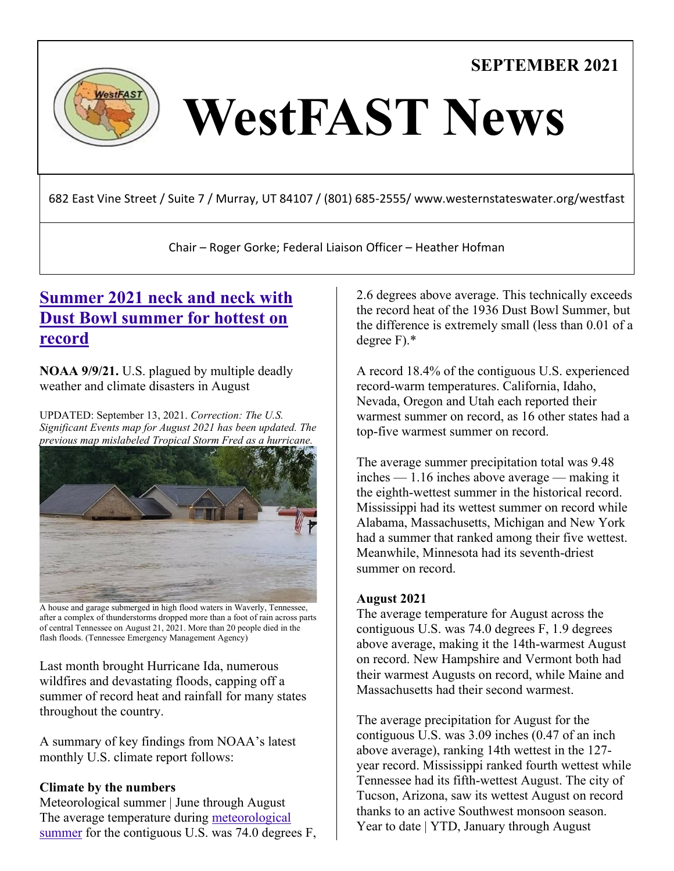**SEPTEMBER 2021**



# WestFAST News

682 East Vine Street / Suite 7 / Murray, UT 84107 / (801) 685-2555/ www.westernstateswater.org/westfast

Chair – Roger Gorke; Federal Liaison Officer – Heather Hofman

## **[Summer 2021 neck and neck with](https://www.noaa.gov/news/summer-2021-neck-and-neck-with-dust-bowl-summer-for-hottest-on-record)  [Dust Bowl summer for hottest on](https://www.noaa.gov/news/summer-2021-neck-and-neck-with-dust-bowl-summer-for-hottest-on-record)  [record](https://www.noaa.gov/news/summer-2021-neck-and-neck-with-dust-bowl-summer-for-hottest-on-record)**

**NOAA 9/9/21.** U.S. plagued by multiple deadly weather and climate disasters in August

UPDATED: September 13, 2021. *Correction: The U.S. Significant Events map for August 2021 has been updated. The previous map mislabeled Tropical Storm Fred as a hurricane.*



A house and garage submerged in high flood waters in Waverly, Tennessee, after a complex of thunderstorms dropped more than a foot of rain across parts of central Tennessee on August 21, 2021. More than 20 people died in the flash floods. (Tennessee Emergency Management Agency)

Last month brought Hurricane Ida, numerous wildfires and devastating floods, capping off a summer of record heat and rainfall for many states throughout the country.

A summary of key findings from NOAA's latest monthly U.S. climate report follows:

## **Climate by the numbers**

Meteorological summer | June through August The average temperature during [meteorological](https://www.ncei.noaa.gov/news/meteorological-versus-astronomical-seasons)  [summer](https://www.ncei.noaa.gov/news/meteorological-versus-astronomical-seasons) for the contiguous U.S. was 74.0 degrees F, 2.6 degrees above average. This technically exceeds the record heat of the 1936 Dust Bowl Summer, but the difference is extremely small (less than 0.01 of a degree F).\*

A record 18.4% of the contiguous U.S. experienced record-warm temperatures. California, Idaho, Nevada, Oregon and Utah each reported their warmest summer on record, as 16 other states had a top-five warmest summer on record.

The average summer precipitation total was 9.48 inches — 1.16 inches above average — making it the eighth-wettest summer in the historical record. Mississippi had its wettest summer on record while Alabama, Massachusetts, Michigan and New York had a summer that ranked among their five wettest. Meanwhile, Minnesota had its seventh-driest summer on record.

## **August 2021**

The average temperature for August across the contiguous U.S. was 74.0 degrees F, 1.9 degrees above average, making it the 14th-warmest August on record. New Hampshire and Vermont both had their warmest Augusts on record, while Maine and Massachusetts had their second warmest.

The average precipitation for August for the contiguous U.S. was 3.09 inches (0.47 of an inch above average), ranking 14th wettest in the 127 year record. Mississippi ranked fourth wettest while Tennessee had its fifth-wettest August. The city of Tucson, Arizona, saw its wettest August on record thanks to an active Southwest monsoon season. Year to date | YTD, January through August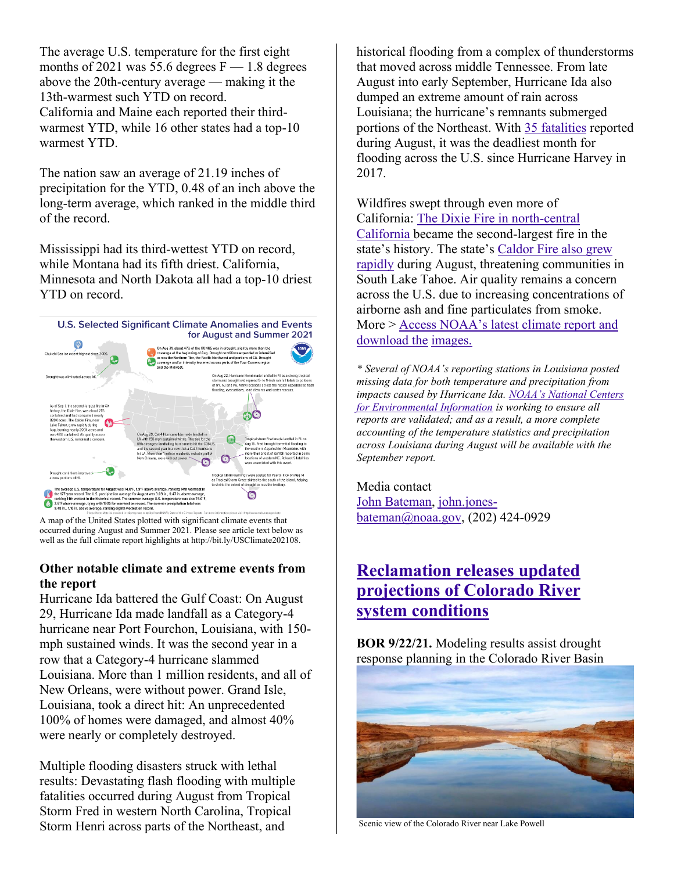The average U.S. temperature for the first eight months of 2021 was 55.6 degrees  $F - 1.8$  degrees above the 20th-century average — making it the 13th-warmest such YTD on record. California and Maine each reported their thirdwarmest YTD, while 16 other states had a top-10 warmest YTD.

The nation saw an average of 21.19 inches of precipitation for the YTD, 0.48 of an inch above the long-term average, which ranked in the middle third of the record.

Mississippi had its third-wettest YTD on record, while Montana had its fifth driest. California, Minnesota and North Dakota all had a top-10 driest YTD on record.



A map of the United States plotted with significant climate events that occurred during August and Summer 2021. Please see article text below as well as the full climate report highlights at http://bit.ly/USClimate202108.

## **Other notable climate and extreme events from the report**

Hurricane Ida battered the Gulf Coast: On August 29, Hurricane Ida made landfall as a Category-4 hurricane near Port Fourchon, Louisiana, with 150 mph sustained winds. It was the second year in a row that a Category-4 hurricane slammed Louisiana. More than 1 million residents, and all of New Orleans, were without power. Grand Isle, Louisiana, took a direct hit: An unprecedented 100% of homes were damaged, and almost 40% were nearly or completely destroyed.

Multiple flooding disasters struck with lethal results: Devastating flash flooding with multiple fatalities occurred during August from Tropical Storm Fred in western North Carolina, Tropical Storm Henri across parts of the Northeast, and

historical flooding from a complex of thunderstorms that moved across middle Tennessee. From late August into early September, Hurricane Ida also dumped an extreme amount of rain across Louisiana; the hurricane's remnants submerged portions of the Northeast. With [35 fatalities](https://www.weather.gov/arx/usflood) reported during August, it was the deadliest month for flooding across the U.S. since Hurricane Harvey in 2017.

Wildfires swept through even more of California: [The Dixie Fire in north-central](https://inciweb.nwcg.gov/incident/7690/)  [California](https://inciweb.nwcg.gov/incident/7690/) became the second-largest fire in the state's history. The state's [Caldor Fire also grew](https://inciweb.nwcg.gov/incident/7801/)  [rapidly](https://inciweb.nwcg.gov/incident/7801/) during August, threatening communities in South Lake Tahoe. Air quality remains a concern across the U.S. due to increasing concentrations of airborne ash and fine particulates from smoke. More > [Access NOAA's latest climate report and](https://www.ncei.noaa.gov/news/national-climate-202108)  [download the](https://www.ncei.noaa.gov/news/national-climate-202108) [images.](https://www.ncei.noaa.gov/news/national-climate-202003)

*\* Several of NOAA's reporting stations in Louisiana posted missing data for both temperature and precipitation from impacts caused by Hurricane Ida. [NOAA's National Centers](https://www.ncei.noaa.gov/)  [for Environmental Information](https://www.ncei.noaa.gov/) is working to ensure all reports are validated; and as a result, a more complete accounting of the temperature statistics and precipitation across Louisiana during August will be available with the September report.*

Media contact [John Bateman,](mailto:john.jones-bateman@noaa.gov) [john.jones](mailto:john.jones-bateman@noaa.gov)[bateman@noaa.gov,](mailto:john.jones-bateman@noaa.gov) (202) 424-0929

# **[Reclamation releases updated](https://www.usbr.gov/newsroom/#/news-release/3994)  [projections of Colorado River](https://www.usbr.gov/newsroom/#/news-release/3994)  [system conditions](https://www.usbr.gov/newsroom/#/news-release/3994)**

**BOR 9/22/21.** Modeling results assist drought response planning in the Colorado River Basin



Scenic view of the Colorado River near Lake Powell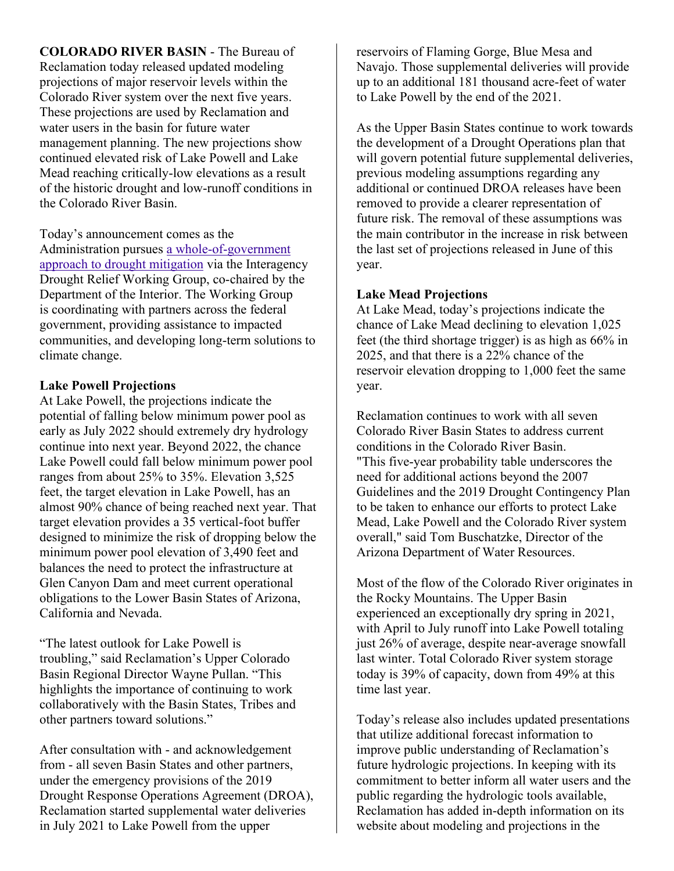**COLORADO RIVER BASIN** - The Bureau of Reclamation today released updated modeling projections of major reservoir levels within the Colorado River system over the next five years. These projections are used by Reclamation and water users in the basin for future water management planning. The new projections show continued elevated risk of Lake Powell and Lake Mead reaching critically-low elevations as a result of the historic drought and low-runoff conditions in the Colorado River Basin.

Today's announcement comes as the Administration pursues a [whole-of-government](https://www.doi.gov/priorities/addressing-the-drought-crisis)  [approach to drought mitigation](https://www.doi.gov/priorities/addressing-the-drought-crisis) via the Interagency Drought Relief Working Group, co-chaired by the Department of the Interior. The Working Group is coordinating with partners across the federal government, providing assistance to impacted communities, and developing long-term solutions to climate change.

#### **Lake Powell Projections**

At Lake Powell, the projections indicate the potential of falling below minimum power pool as early as July 2022 should extremely dry hydrology continue into next year. Beyond 2022, the chance Lake Powell could fall below minimum power pool ranges from about 25% to 35%. Elevation 3,525 feet, the target elevation in Lake Powell, has an almost 90% chance of being reached next year. That target elevation provides a 35 vertical-foot buffer designed to minimize the risk of dropping below the minimum power pool elevation of 3,490 feet and balances the need to protect the infrastructure at Glen Canyon Dam and meet current operational obligations to the Lower Basin States of Arizona, California and Nevada.

"The latest outlook for Lake Powell is troubling," said Reclamation's Upper Colorado Basin Regional Director Wayne Pullan. "This highlights the importance of continuing to work collaboratively with the Basin States, Tribes and other partners toward solutions."

After consultation with - and acknowledgement from - all seven Basin States and other partners, under the emergency provisions of the 2019 Drought Response Operations Agreement (DROA), Reclamation started supplemental water deliveries in July 2021 to Lake Powell from the upper

reservoirs of Flaming Gorge, Blue Mesa and Navajo. Those supplemental deliveries will provide up to an additional 181 thousand acre-feet of water to Lake Powell by the end of the 2021.

As the Upper Basin States continue to work towards the development of a Drought Operations plan that will govern potential future supplemental deliveries, previous modeling assumptions regarding any additional or continued DROA releases have been removed to provide a clearer representation of future risk. The removal of these assumptions was the main contributor in the increase in risk between the last set of projections released in June of this year.

## **Lake Mead Projections**

At Lake Mead, today's projections indicate the chance of Lake Mead declining to elevation 1,025 feet (the third shortage trigger) is as high as 66% in 2025, and that there is a 22% chance of the reservoir elevation dropping to 1,000 feet the same year.

Reclamation continues to work with all seven Colorado River Basin States to address current conditions in the Colorado River Basin. "This five-year probability table underscores the need for additional actions beyond the 2007 Guidelines and the 2019 Drought Contingency Plan to be taken to enhance our efforts to protect Lake Mead, Lake Powell and the Colorado River system overall," said Tom Buschatzke, Director of the Arizona Department of Water Resources.

Most of the flow of the Colorado River originates in the Rocky Mountains. The Upper Basin experienced an exceptionally dry spring in 2021, with April to July runoff into Lake Powell totaling just 26% of average, despite near-average snowfall last winter. Total Colorado River system storage today is 39% of capacity, down from 49% at this time last year.

Today's release also includes updated presentations that utilize additional forecast information to improve public understanding of Reclamation's future hydrologic projections. In keeping with its commitment to better inform all water users and the public regarding the hydrologic tools available, Reclamation has added in-depth information on its website about modeling and projections in the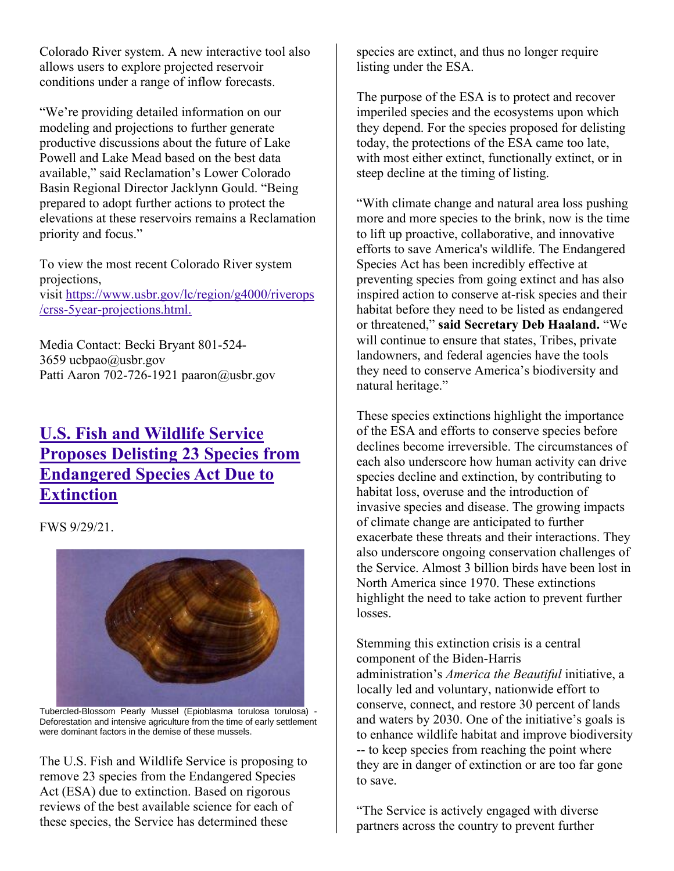Colorado River system. A new interactive tool also allows users to explore projected reservoir conditions under a range of inflow forecasts.

"We're providing detailed information on our modeling and projections to further generate productive discussions about the future of Lake Powell and Lake Mead based on the best data available," said Reclamation's Lower Colorado Basin Regional Director Jacklynn Gould. "Being prepared to adopt further actions to protect the elevations at these reservoirs remains a Reclamation priority and focus."

To view the most recent Colorado River system projections, visit [https://www.usbr.gov/lc/region/g4000/riverops](https://www.usbr.gov/lc/region/g4000/riverops/crss-5year-projections.html) [/crss-5year-projections.html.](https://www.usbr.gov/lc/region/g4000/riverops/crss-5year-projections.html)

Media Contact: Becki Bryant 801-524- 3659 ucbpao@usbr.gov Patti Aaron 702-726-1921 paaron@usbr.gov

# **[U.S. Fish and Wildlife Service](https://www.fws.gov/news/ShowNews.cfm?ref=u.s.-fish-and-wildlife-service-proposes-delisting-23-species-from-&_ID=37017)  [Proposes Delisting 23 Species from](https://www.fws.gov/news/ShowNews.cfm?ref=u.s.-fish-and-wildlife-service-proposes-delisting-23-species-from-&_ID=37017)  [Endangered Species Act Due to](https://www.fws.gov/news/ShowNews.cfm?ref=u.s.-fish-and-wildlife-service-proposes-delisting-23-species-from-&_ID=37017)  [Extinction](https://www.fws.gov/news/ShowNews.cfm?ref=u.s.-fish-and-wildlife-service-proposes-delisting-23-species-from-&_ID=37017)**

FWS 9/29/21.



Tubercled-Blossom Pearly Mussel (Epioblasma torulosa torulosa) - Deforestation and intensive agriculture from the time of early settlement were dominant factors in the demise of these mussels.

The U.S. Fish and Wildlife Service is proposing to remove 23 species from the Endangered Species Act (ESA) due to extinction. Based on rigorous reviews of the best available science for each of these species, the Service has determined these

species are extinct, and thus no longer require listing under the ESA.

The purpose of the ESA is to protect and recover imperiled species and the ecosystems upon which they depend. For the species proposed for delisting today, the protections of the ESA came too late, with most either extinct, functionally extinct, or in steep decline at the timing of listing.

"With climate change and natural area loss pushing more and more species to the brink, now is the time to lift up proactive, collaborative, and innovative efforts to save America's wildlife. The Endangered Species Act has been incredibly effective at preventing species from going extinct and has also inspired action to conserve at-risk species and their habitat before they need to be listed as endangered or threatened," **said Secretary Deb Haaland.** "We will continue to ensure that states, Tribes, private landowners, and federal agencies have the tools they need to conserve America's biodiversity and natural heritage."

These species extinctions highlight the importance of the ESA and efforts to conserve species before declines become irreversible. The circumstances of each also underscore how human activity can drive species decline and extinction, by contributing to habitat loss, overuse and the introduction of invasive species and disease. The growing impacts of climate change are anticipated to further exacerbate these threats and their interactions. They also underscore ongoing conservation challenges of the Service. Almost 3 billion birds have been lost in North America since 1970. These extinctions highlight the need to take action to prevent further losses.

Stemming this extinction crisis is a central component of the Biden-Harris administration's *America the Beautiful* initiative, a locally led and voluntary, nationwide effort to conserve, connect, and restore 30 percent of lands and waters by 2030. One of the initiative's goals is to enhance wildlife habitat and improve biodiversity -- to keep species from reaching the point where they are in danger of extinction or are too far gone to save.

"The Service is actively engaged with diverse partners across the country to prevent further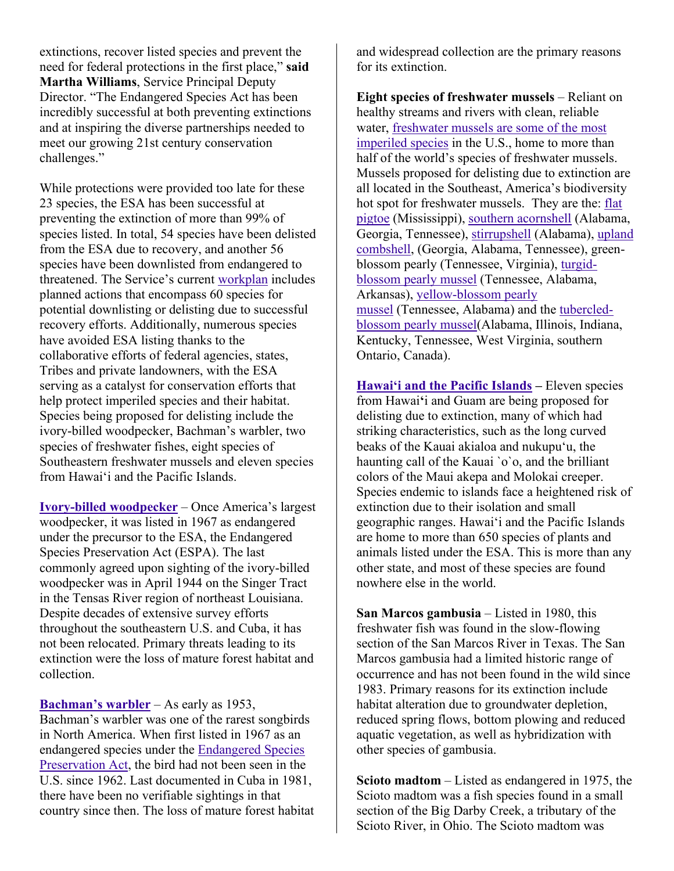extinctions, recover listed species and prevent the need for federal protections in the first place," **said Martha Williams**, Service Principal Deputy Director. "The Endangered Species Act has been incredibly successful at both preventing extinctions and at inspiring the diverse partnerships needed to meet our growing 21st century conservation challenges."

While protections were provided too late for these 23 species, the ESA has been successful at preventing the extinction of more than 99% of species listed. In total, 54 species have been delisted from the ESA due to recovery, and another 56 species have been downlisted from endangered to threatened. The Service's current [workplan](https://www.fws.gov/endangered/esa-library/pdf/3-Year_Downlisting_Delisting_Workplan.pdf) includes planned actions that encompass 60 species for potential downlisting or delisting due to successful recovery efforts. Additionally, numerous species have avoided ESA listing thanks to the collaborative efforts of federal agencies, states, Tribes and private landowners, with the ESA serving as a catalyst for conservation efforts that help protect imperiled species and their habitat. Species being proposed for delisting include the ivory-billed woodpecker, Bachman's warbler, two species of freshwater fishes, eight species of Southeastern freshwater mussels and eleven species from Hawaiʻi and the Pacific Islands.

**[Ivory-billed woodpecker](https://ecos.fws.gov/ecp/species/8230)** – Once America's largest woodpecker, it was listed in 1967 as endangered under the precursor to the ESA, the Endangered Species Preservation Act (ESPA). The last commonly agreed upon sighting of the ivory-billed woodpecker was in April 1944 on the Singer Tract in the Tensas River region of northeast Louisiana. Despite decades of extensive survey efforts throughout the southeastern U.S. and Cuba, it has not been relocated. Primary threats leading to its extinction were the loss of mature forest habitat and collection.

**[Bachman's warbler](https://ecos.fws.gov/ecp/species/3232)** – As early as 1953, Bachman's warbler was one of the rarest songbirds in North America. When first listed in 1967 as an endangered species under the [Endangered Species](https://www.fws.gov/endangered/laws-policies/esa-history.html#:~:text=Congress%20passed%20the%20Endangered%20Species,and%20giving%20them%20limited%20protection.&text=This%20Act%20called%20for%20an,convention%20to%20conserve%20endangered%20species.)  [Preservation Act,](https://www.fws.gov/endangered/laws-policies/esa-history.html#:~:text=Congress%20passed%20the%20Endangered%20Species,and%20giving%20them%20limited%20protection.&text=This%20Act%20called%20for%20an,convention%20to%20conserve%20endangered%20species.) the bird had not been seen in the U.S. since 1962. Last documented in Cuba in 1981, there have been no verifiable sightings in that country since then. The loss of mature forest habitat and widespread collection are the primary reasons for its extinction.

**Eight species of freshwater mussels** – Reliant on healthy streams and rivers with clean, reliable water, [freshwater mussels are some of the most](https://www.fws.gov/midwest/endangered/clams/mussels.html)  [imperiled species](https://www.fws.gov/midwest/endangered/clams/mussels.html) in the U.S., home to more than half of the world's species of freshwater mussels. Mussels proposed for delisting due to extinction are all located in the Southeast, America's biodiversity hot spot for freshwater mussels. They are the: [flat](https://ecos.fws.gov/ecp/species/5630)  [pigtoe](https://ecos.fws.gov/ecp/species/5630) (Mississippi), [southern acornshell](https://ecos.fws.gov/ecp/species/8469) (Alabama, Georgia, Tennessee), [stirrupshell](https://ecos.fws.gov/ecp/species/5863) (Alabama), [upland](https://ecos.fws.gov/ecp/species/317)  [combshell,](https://ecos.fws.gov/ecp/species/317) (Georgia, Alabama, Tennessee), greenblossom pearly (Tennessee, Virginia), [turgid](https://ecos.fws.gov/ecp/species/7659)[blossom pearly mussel](https://ecos.fws.gov/ecp/species/7659) (Tennessee, Alabama, Arkansas), [yellow-blossom pearly](https://ecos.fws.gov/ecp/species/6919)  [mussel](https://ecos.fws.gov/ecp/species/6919) (Tennessee, Alabama) and the [tubercled](https://ecos.fws.gov/ecp/species/4126)[blossom pearly mussel\(](https://ecos.fws.gov/ecp/species/4126)Alabama, Illinois, Indiana, Kentucky, Tennessee, West Virginia, southern Ontario, Canada).

**[Hawaiʻi and the Pacific Islands](https://www.fws.gov/pacificislands/) –** Eleven species from Hawai**ʻ**i and Guam are being proposed for delisting due to extinction, many of which had striking characteristics, such as the long curved beaks of the Kauai akialoa and nukupuʻu, the haunting call of the Kauai `o`o, and the brilliant colors of the Maui akepa and Molokai creeper. Species endemic to islands face a heightened risk of extinction due to their isolation and small geographic ranges. Hawaiʻi and the Pacific Islands are home to more than 650 species of plants and animals listed under the ESA. This is more than any other state, and most of these species are found nowhere else in the world.

**San Marcos gambusia** – Listed in 1980, this freshwater fish was found in the slow-flowing section of the San Marcos River in Texas. The San Marcos gambusia had a limited historic range of occurrence and has not been found in the wild since 1983. Primary reasons for its extinction include habitat alteration due to groundwater depletion, reduced spring flows, bottom plowing and reduced aquatic vegetation, as well as hybridization with other species of gambusia.

**Scioto madtom** – Listed as endangered in 1975, the Scioto madtom was a fish species found in a small section of the Big Darby Creek, a tributary of the Scioto River, in Ohio. The Scioto madtom was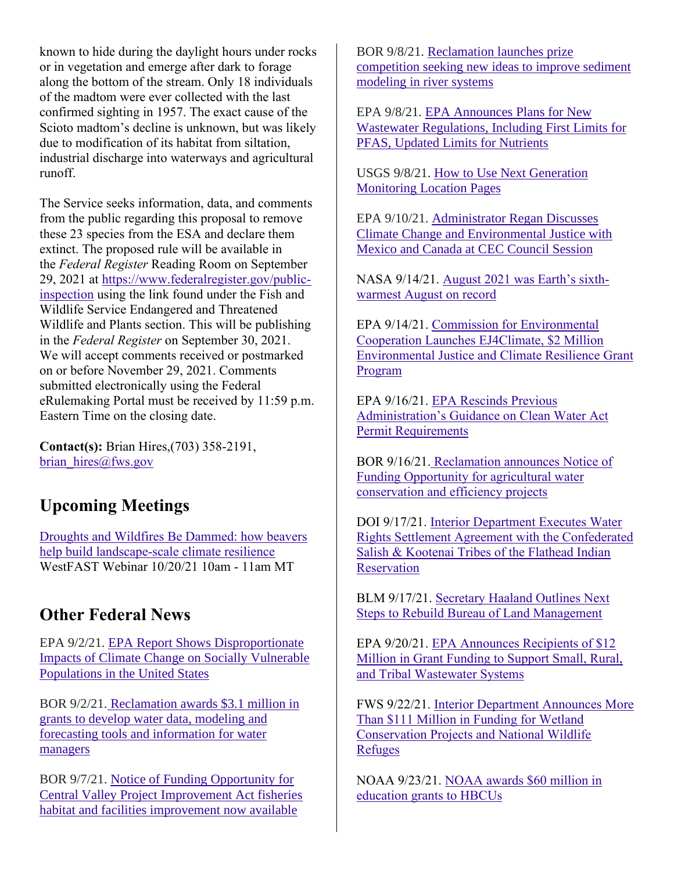known to hide during the daylight hours under rocks or in vegetation and emerge after dark to forage along the bottom of the stream. Only 18 individuals of the madtom were ever collected with the last confirmed sighting in 1957. The exact cause of the Scioto madtom's decline is unknown, but was likely due to modification of its habitat from siltation, industrial discharge into waterways and agricultural runoff.

The Service seeks information, data, and comments from the public regarding this proposal to remove these 23 species from the ESA and declare them extinct. The proposed rule will be available in the *Federal Register* Reading Room on September 29, 2021 at [https://www.federalregister.gov/public](https://www.federalregister.gov/public-inspection)[inspection](https://www.federalregister.gov/public-inspection) using the link found under the Fish and Wildlife Service Endangered and Threatened Wildlife and Plants section. This will be publishing in the *Federal Register* on September 30, 2021. We will accept comments received or postmarked on or before November 29, 2021. Comments submitted electronically using the Federal eRulemaking Portal must be received by 11:59 p.m. Eastern Time on the closing date.

**Contact(s):** Brian Hires,(703) 358-2191, [brian\\_hires@fws.gov](mailto:brian_hires@fws.gov)

# **Upcoming Meetings**

[Droughts and Wildfires Be Dammed: how beavers](https://westernstateswater.org/events/coming-soon/)  [help build landscape-scale climate resilience](https://westernstateswater.org/events/coming-soon/) WestFAST Webinar 10/20/21 10am - 11am MT

# **Other Federal News**

EPA 9/2/21. [EPA Report Shows Disproportionate](https://www.epa.gov/newsreleases/epa-report-shows-disproportionate-impacts-climate-change-socially-vulnerable)  [Impacts of Climate Change on Socially Vulnerable](https://www.epa.gov/newsreleases/epa-report-shows-disproportionate-impacts-climate-change-socially-vulnerable)  [Populations in the United States](https://www.epa.gov/newsreleases/epa-report-shows-disproportionate-impacts-climate-change-socially-vulnerable)

BOR 9/2/21. [Reclamation awards \\$3.1 million in](https://www.usbr.gov/newsroom/#/news-release/3973)  [grants to develop water data, modeling and](https://www.usbr.gov/newsroom/#/news-release/3973)  [forecasting tools and information for water](https://www.usbr.gov/newsroom/#/news-release/3973)  [managers](https://www.usbr.gov/newsroom/#/news-release/3973)

BOR 9/7/21. [Notice of Funding Opportunity for](https://www.usbr.gov/newsroom/#/news-release/3977)  [Central Valley Project Improvement Act fisheries](https://www.usbr.gov/newsroom/#/news-release/3977)  [habitat and facilities improvement now available](https://www.usbr.gov/newsroom/#/news-release/3977)

BOR 9/8/21. [Reclamation launches prize](https://www.usbr.gov/newsroom/#/news-release/3978)  [competition seeking new ideas to improve sediment](https://www.usbr.gov/newsroom/#/news-release/3978)  [modeling in river systems](https://www.usbr.gov/newsroom/#/news-release/3978)

EPA 9/8/21. [EPA Announces Plans for New](https://www.epa.gov/newsreleases/epa-announces-plans-new-wastewater-regulations-including-first-limits-pfas-updated)  [Wastewater Regulations, Including First Limits for](https://www.epa.gov/newsreleases/epa-announces-plans-new-wastewater-regulations-including-first-limits-pfas-updated)  [PFAS, Updated Limits for Nutrients](https://www.epa.gov/newsreleases/epa-announces-plans-new-wastewater-regulations-including-first-limits-pfas-updated)

USGS 9/8/21. [How to Use Next Generation](https://waterdata.usgs.gov/blog/how-to-use-nextgen-pages/)  [Monitoring Location Pages](https://waterdata.usgs.gov/blog/how-to-use-nextgen-pages/)

EPA 9/10/21. [Administrator Regan Discusses](https://www.epa.gov/newsreleases/administrator-regan-discusses-climate-change-and-environmental-justice-mexico-and)  [Climate Change and Environmental Justice with](https://www.epa.gov/newsreleases/administrator-regan-discusses-climate-change-and-environmental-justice-mexico-and)  [Mexico and Canada at CEC Council Session](https://www.epa.gov/newsreleases/administrator-regan-discusses-climate-change-and-environmental-justice-mexico-and)

NASA 9/14/21. [August 2021 was Earth's sixth](https://www.noaa.gov/news/august-2021-was-earths-sixth-warmest-august-on-record)[warmest August on record](https://www.noaa.gov/news/august-2021-was-earths-sixth-warmest-august-on-record)

EPA 9/14/21. [Commission for Environmental](https://www.epa.gov/newsreleases/commission-environmental-cooperation-launches-ej4climate-2-million-environmental)  [Cooperation Launches EJ4Climate, \\$2 Million](https://www.epa.gov/newsreleases/commission-environmental-cooperation-launches-ej4climate-2-million-environmental)  [Environmental Justice and Climate Resilience Grant](https://www.epa.gov/newsreleases/commission-environmental-cooperation-launches-ej4climate-2-million-environmental)  [Program](https://www.epa.gov/newsreleases/commission-environmental-cooperation-launches-ej4climate-2-million-environmental)

EPA 9/16/21. [EPA Rescinds Previous](https://www.epa.gov/newsreleases/epa-rescinds-previous-administrations-guidance-clean-water-act-permit-requirements)  [Administration's Guidance on Clean Water Act](https://www.epa.gov/newsreleases/epa-rescinds-previous-administrations-guidance-clean-water-act-permit-requirements)  [Permit Requirements](https://www.epa.gov/newsreleases/epa-rescinds-previous-administrations-guidance-clean-water-act-permit-requirements)

BOR 9/16/21. [Reclamation announces Notice of](https://www.usbr.gov/newsroom/#/news-release/3986)  [Funding Opportunity for agricultural water](https://www.usbr.gov/newsroom/#/news-release/3986)  [conservation and efficiency projects](https://www.usbr.gov/newsroom/#/news-release/3986)

DOI 9/17/21. [Interior Department Executes Water](https://www.doi.gov/pressreleases/interior-department-executes-water-rights-settlement-agreement-confederated-salish)  [Rights Settlement Agreement with the Confederated](https://www.doi.gov/pressreleases/interior-department-executes-water-rights-settlement-agreement-confederated-salish)  [Salish & Kootenai Tribes of the Flathead Indian](https://www.doi.gov/pressreleases/interior-department-executes-water-rights-settlement-agreement-confederated-salish)  **[Reservation](https://www.doi.gov/pressreleases/interior-department-executes-water-rights-settlement-agreement-confederated-salish)** 

BLM 9/17/21. [Secretary Haaland Outlines Next](https://www.blm.gov/press-release/secretary-haaland-outlines-next-steps-rebuild-bureau-land-management)  [Steps to Rebuild Bureau of Land Management](https://www.blm.gov/press-release/secretary-haaland-outlines-next-steps-rebuild-bureau-land-management)

EPA 9/20/21. [EPA Announces Recipients of \\$12](https://www.epa.gov/newsreleases/epa-announces-recipients-12-million-grant-funding-support-small-rural-and-tribal)  [Million in Grant Funding to Support Small, Rural,](https://www.epa.gov/newsreleases/epa-announces-recipients-12-million-grant-funding-support-small-rural-and-tribal)  [and Tribal Wastewater Systems](https://www.epa.gov/newsreleases/epa-announces-recipients-12-million-grant-funding-support-small-rural-and-tribal)

FWS 9/22/21. [Interior Department Announces More](https://www.fws.gov/news/ShowNews.cfm?ref=interior-department-announces-more-than-$111-million-in-funding-for---&_ID=37001)  [Than \\$111 Million in Funding for Wetland](https://www.fws.gov/news/ShowNews.cfm?ref=interior-department-announces-more-than-$111-million-in-funding-for---&_ID=37001)  [Conservation Projects and National Wildlife](https://www.fws.gov/news/ShowNews.cfm?ref=interior-department-announces-more-than-$111-million-in-funding-for---&_ID=37001) [Refuges](https://www.fws.gov/news/ShowNews.cfm?ref=interior-department-announces-more-than-$111-million-in-funding-for---&_ID=37001)

NOAA 9/23/21. [NOAA awards \\$60 million in](https://www.noaa.gov/news-release/noaa-awards-60-million-in-education-grants-to-hbcus)  [education grants to HBCUs](https://www.noaa.gov/news-release/noaa-awards-60-million-in-education-grants-to-hbcus)